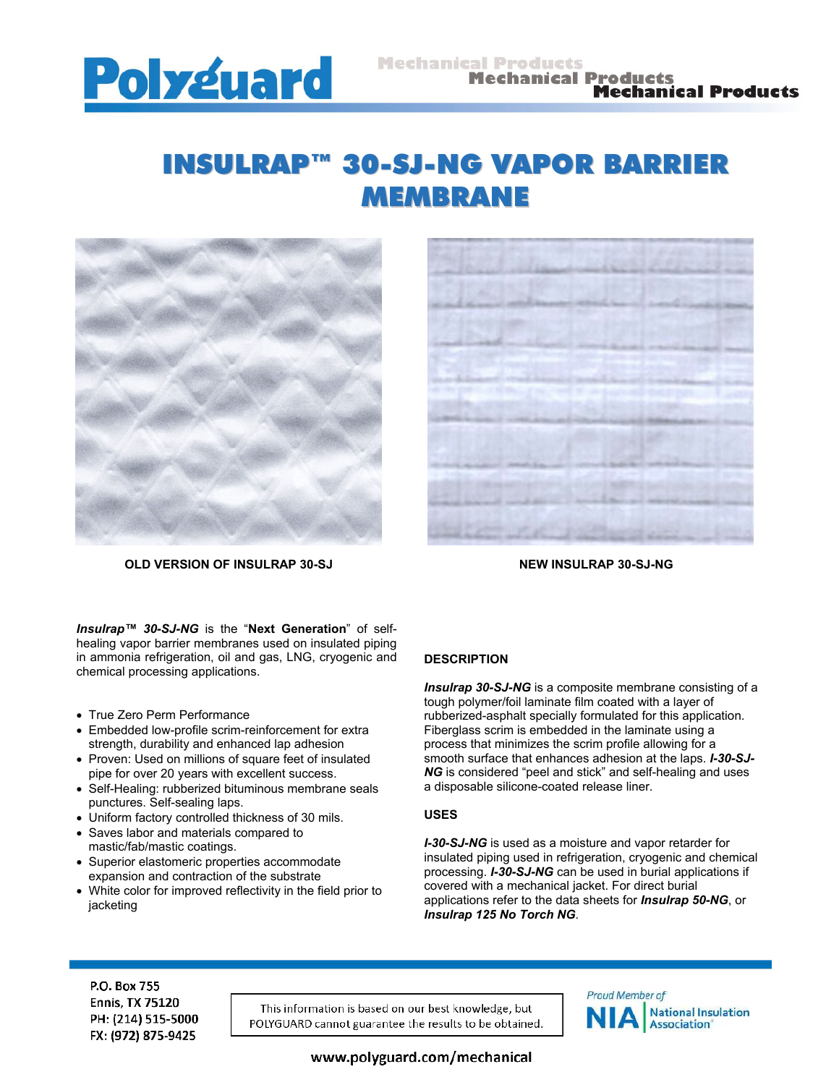

# INSULRAP™ 30-SJ-NG VAPOR BARRIER MEMBRANE



**OLD VERSION OF INSULRAP 30-SJ NEW INSULRAP 30-SJ-NG** 



*Insulrap™ 30-SJ-NG* is the "**Next Generation**" of selfhealing vapor barrier membranes used on insulated piping in ammonia refrigeration, oil and gas, LNG, cryogenic and chemical processing applications.

- True Zero Perm Performance
- Embedded low-profile scrim-reinforcement for extra strength, durability and enhanced lap adhesion
- Proven: Used on millions of square feet of insulated pipe for over 20 years with excellent success.
- Self-Healing: rubberized bituminous membrane seals punctures. Self-sealing laps.
- Uniform factory controlled thickness of 30 mils.
- Saves labor and materials compared to mastic/fab/mastic coatings.
- Superior elastomeric properties accommodate expansion and contraction of the substrate
- White color for improved reflectivity in the field prior to jacketing

# **DESCRIPTION**

*Insulrap 30-SJ-NG* is a composite membrane consisting of a tough polymer/foil laminate film coated with a layer of rubberized-asphalt specially formulated for this application. Fiberglass scrim is embedded in the laminate using a process that minimizes the scrim profile allowing for a smooth surface that enhances adhesion at the laps. *I-30-SJ-NG* is considered "peel and stick" and self-healing and uses a disposable silicone-coated release liner.

### **USES**

*I-30-SJ-NG* is used as a moisture and vapor retarder for insulated piping used in refrigeration, cryogenic and chemical processing. *I-30-SJ-NG* can be used in burial applications if covered with a mechanical jacket. For direct burial applications refer to the data sheets for *Insulrap 50-NG*, or *Insulrap 125 No Torch NG.*

P.O. Box 755 **Ennis, TX 75120** PH: (214) 515-5000 FX: (972) 875-9425

This information is based on our best knowledge, but POLYGUARD cannot guarantee the results to be obtained.



www.polyguard.com/mechanical